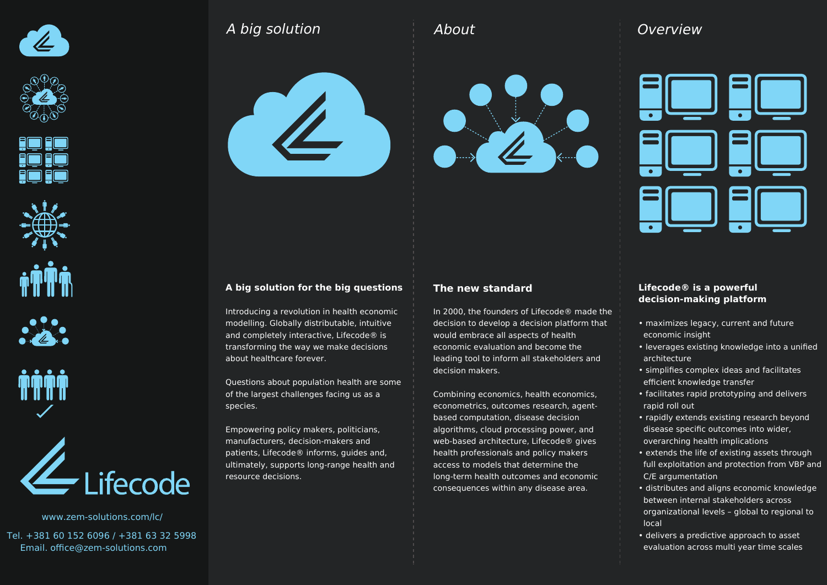







www.zem-solutions.com/lc/

Tel. +381 60 152 6096 / +381 63 32 5998 Email. office@zem-solutions.com

## A big solution





# **Overview**



#### **A big solution for the big questions**

Introducing a revolution in health economic modelling. Globally distributable, intuitive and completely interactive, Lifecode® is transforming the way we make decisions about healthcare forever.

Questions about population health are some of the largest challenges facing us as a species.

Empowering policy makers, politicians, manufacturers, decision-makers and patients, Lifecode® informs, guides and, ultimately, supports long-range health and resource decisions.

#### **The new standard**

About

In 2000, the founders of Lifecode® made the decision to develop a decision platform that would embrace all aspects of health economic evaluation and become the leading tool to inform all stakeholders and decision makers.

Combining economics, health economics, econometrics, outcomes research, agentbased computation, disease decision algorithms, cloud processing power, and web-based architecture, Lifecode® gives health professionals and policy makers access to models that determine the long-term health outcomes and economic consequences within any disease area.

#### **Lifecode® is a powerful decision-making platform**

- maximizes legacy, current and future economic insight
- leverages existing knowledge into a unified architecture
- simplifies complex ideas and facilitates efficient knowledge transfer
- facilitates rapid prototyping and delivers rapid roll out
- rapidly extends existing research beyond disease specific outcomes into wider, overarching health implications
- extends the life of existing assets through full exploitation and protection from VBP and C/E argumentation
- distributes and aligns economic knowledge between internal stakeholders across organizational levels – global to regional to local
- delivers a predictive approach to asset evaluation across multi year time scales